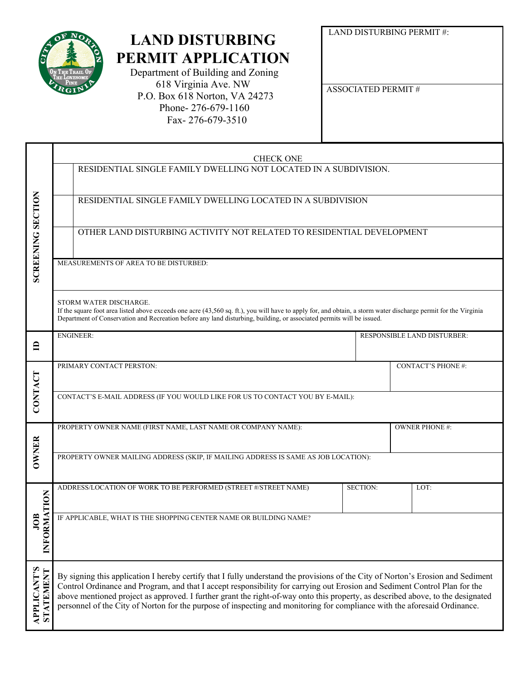

Τ

## **LAND DISTURBING PERMIT APPLICATION**

 Department of Building and Zoning 618 Virginia Ave. NW P.O. Box 618 Norton, VA 24273 Phone- 276-679-1160 Fax- 276-679-3510

LAND DISTURBING PERMIT #:

ASSOCIATED PERMIT #

|                                        | <b>CHECK ONE</b>                                                                                                                                                                                                                                                                                                                                                                                                                                                                                                               |                 |                                    |                          |  |  |  |
|----------------------------------------|--------------------------------------------------------------------------------------------------------------------------------------------------------------------------------------------------------------------------------------------------------------------------------------------------------------------------------------------------------------------------------------------------------------------------------------------------------------------------------------------------------------------------------|-----------------|------------------------------------|--------------------------|--|--|--|
|                                        | RESIDENTIAL SINGLE FAMILY DWELLING NOT LOCATED IN A SUBDIVISION.                                                                                                                                                                                                                                                                                                                                                                                                                                                               |                 |                                    |                          |  |  |  |
| <b>SCREENING SECTION</b>               | RESIDENTIAL SINGLE FAMILY DWELLING LOCATED IN A SUBDIVISION                                                                                                                                                                                                                                                                                                                                                                                                                                                                    |                 |                                    |                          |  |  |  |
|                                        | OTHER LAND DISTURBING ACTIVITY NOT RELATED TO RESIDENTIAL DEVELOPMENT                                                                                                                                                                                                                                                                                                                                                                                                                                                          |                 |                                    |                          |  |  |  |
|                                        | MEASUREMENTS OF AREA TO BE DISTURBED:                                                                                                                                                                                                                                                                                                                                                                                                                                                                                          |                 |                                    |                          |  |  |  |
|                                        | STORM WATER DISCHARGE.<br>If the square foot area listed above exceeds one acre (43,560 sq. ft.), you will have to apply for, and obtain, a storm water discharge permit for the Virginia<br>Department of Conservation and Recreation before any land disturbing, building, or associated permits will be issued.                                                                                                                                                                                                             |                 |                                    |                          |  |  |  |
| ≘                                      | <b>ENGINEER:</b>                                                                                                                                                                                                                                                                                                                                                                                                                                                                                                               |                 | <b>RESPONSIBLE LAND DISTURBER:</b> |                          |  |  |  |
|                                        | PRIMARY CONTACT PERSTON:                                                                                                                                                                                                                                                                                                                                                                                                                                                                                                       |                 |                                    | <b>CONTACT'S PHONE#:</b> |  |  |  |
| CONTACT                                | CONTACT'S E-MAIL ADDRESS (IF YOU WOULD LIKE FOR US TO CONTACT YOU BY E-MAIL):                                                                                                                                                                                                                                                                                                                                                                                                                                                  |                 |                                    |                          |  |  |  |
|                                        | PROPERTY OWNER NAME (FIRST NAME, LAST NAME OR COMPANY NAME):                                                                                                                                                                                                                                                                                                                                                                                                                                                                   |                 |                                    | <b>OWNER PHONE #:</b>    |  |  |  |
| <b>OWNER</b>                           | PROPERTY OWNER MAILING ADDRESS (SKIP, IF MAILING ADDRESS IS SAME AS JOB LOCATION):                                                                                                                                                                                                                                                                                                                                                                                                                                             |                 |                                    |                          |  |  |  |
| RMATION<br>JOB<br>INFO                 | ADDRESS/LOCATION OF WORK TO BE PERFORMED (STREET #/STREET NAME)                                                                                                                                                                                                                                                                                                                                                                                                                                                                | <b>SECTION:</b> | LOT:                               |                          |  |  |  |
|                                        | IF APPLICABLE, WHAT IS THE SHOPPING CENTER NAME OR BUILDING NAME?                                                                                                                                                                                                                                                                                                                                                                                                                                                              |                 |                                    |                          |  |  |  |
| <b>APPLICANT'S</b><br><b>STATEMENT</b> | By signing this application I hereby certify that I fully understand the provisions of the City of Norton's Erosion and Sediment<br>Control Ordinance and Program, and that I accept responsibility for carrying out Erosion and Sediment Control Plan for the<br>above mentioned project as approved. I further grant the right-of-way onto this property, as described above, to the designated<br>personnel of the City of Norton for the purpose of inspecting and monitoring for compliance with the aforesaid Ordinance. |                 |                                    |                          |  |  |  |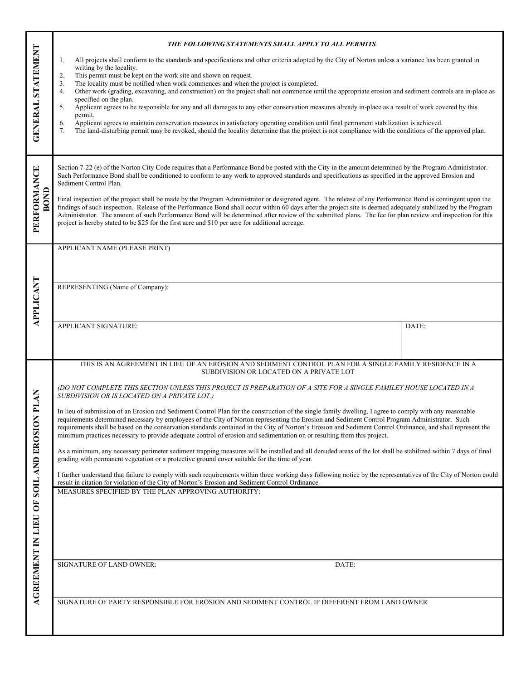|                                       | THE FOLLOWING STATEMENTS SHALL APPLY TO ALL PERMITS                                                                                                                                                                                                                                                                                                                                                                                                                                                                                                                                                 |       |  |  |  |
|---------------------------------------|-----------------------------------------------------------------------------------------------------------------------------------------------------------------------------------------------------------------------------------------------------------------------------------------------------------------------------------------------------------------------------------------------------------------------------------------------------------------------------------------------------------------------------------------------------------------------------------------------------|-------|--|--|--|
|                                       | All projects shall conform to the standards and specifications and other criteria adopted by the City of Norton unless a variance has been granted in<br>1.<br>writing by the locality.<br>This permit must be kept on the work site and shown on request.<br>2.<br>The locality must be notified when work commences and when the project is completed.<br>3.                                                                                                                                                                                                                                      |       |  |  |  |
| GENERAL STATEMENT                     |                                                                                                                                                                                                                                                                                                                                                                                                                                                                                                                                                                                                     |       |  |  |  |
|                                       | Other work (grading, excavating, and construction) on the project shall not commence until the appropriate erosion and sediment controls are in-place as<br>4.<br>specified on the plan.                                                                                                                                                                                                                                                                                                                                                                                                            |       |  |  |  |
|                                       | Applicant agrees to be responsible for any and all damages to any other conservation measures already in-place as a result of work covered by this<br>5.<br>permit.<br>Applicant agrees to maintain conservation measures in satisfactory operating condition until final permanent stabilization is achieved.<br>6.                                                                                                                                                                                                                                                                                |       |  |  |  |
|                                       | The land-disturbing permit may be revoked, should the locality determine that the project is not compliance with the conditions of the approved plan.<br>7.                                                                                                                                                                                                                                                                                                                                                                                                                                         |       |  |  |  |
|                                       |                                                                                                                                                                                                                                                                                                                                                                                                                                                                                                                                                                                                     |       |  |  |  |
|                                       | Section 7-22 (e) of the Norton City Code requires that a Performance Bond be posted with the City in the amount determined by the Program Administrator.<br>Such Performance Bond shall be conditioned to conform to any work to approved standards and specifications as specified in the approved Erosion and<br>Sediment Control Plan.                                                                                                                                                                                                                                                           |       |  |  |  |
| PERFORMANCE<br>BOND                   | Final inspection of the project shall be made by the Program Administrator or designated agent. The release of any Performance Bond is contingent upon the<br>findings of such inspection. Release of the Performance Bond shall occur within 60 days after the project site is deemed adequately stabilized by the Program<br>Administrator. The amount of such Performance Bond will be determined after review of the submitted plans. The fee for plan review and inspection for this<br>project is hereby stated to be \$25 for the first acre and \$10 per acre for additional acreage.       |       |  |  |  |
|                                       |                                                                                                                                                                                                                                                                                                                                                                                                                                                                                                                                                                                                     |       |  |  |  |
|                                       | APPLICANT NAME (PLEASE PRINT)                                                                                                                                                                                                                                                                                                                                                                                                                                                                                                                                                                       |       |  |  |  |
|                                       |                                                                                                                                                                                                                                                                                                                                                                                                                                                                                                                                                                                                     |       |  |  |  |
|                                       | REPRESENTING (Name of Company):                                                                                                                                                                                                                                                                                                                                                                                                                                                                                                                                                                     |       |  |  |  |
| <b>APPLICANT</b>                      |                                                                                                                                                                                                                                                                                                                                                                                                                                                                                                                                                                                                     |       |  |  |  |
|                                       | APPLICANT SIGNATURE:                                                                                                                                                                                                                                                                                                                                                                                                                                                                                                                                                                                | DATE: |  |  |  |
|                                       |                                                                                                                                                                                                                                                                                                                                                                                                                                                                                                                                                                                                     |       |  |  |  |
|                                       | THIS IS AN AGREEMENT IN LIEU OF AN EROSION AND SEDIMENT CONTROL PLAN FOR A SINGLE FAMILY RESIDENCE IN A<br>SUBDIVISION OR LOCATED ON A PRIVATE LOT                                                                                                                                                                                                                                                                                                                                                                                                                                                  |       |  |  |  |
| <b>PLAN</b>                           | (DO NOT COMPLETE THIS SECTION UNLESS THIS PROJECT IS PREPARATION OF A SITE FOR A SINGLE FAMILEY HOUSE LOCATED IN A<br>SUBDIVISION OR IS LOCATED ON A PRIVATE LOT.)                                                                                                                                                                                                                                                                                                                                                                                                                                  |       |  |  |  |
|                                       | In lieu of submission of an Erosion and Sediment Control Plan for the construction of the single family dwelling, I agree to comply with any reasonable<br>requirements determined necessary by employees of the City of Norton representing the Erosion and Sediment Control Program Administrator. Such<br>requirements shall be based on the conservation standards contained in the City of Norton's Erosion and Sediment Control Ordinance, and shall represent the<br>minimum practices necessary to provide adequate control of erosion and sedimentation on or resulting from this project. |       |  |  |  |
| AGREEMENT IN LIEU OF SOIL AND EROSION | As a minimum, any necessary perimeter sediment trapping measures will be installed and all denuded areas of the lot shall be stabilized within 7 days of final<br>grading with permanent vegetation or a protective ground cover suitable for the time of year.                                                                                                                                                                                                                                                                                                                                     |       |  |  |  |
|                                       | I further understand that failure to comply with such requirements within three working days following notice by the representatives of the City of Norton could<br>result in citation for violation of the City of Norton's Erosion and Sediment Control Ordinance.                                                                                                                                                                                                                                                                                                                                |       |  |  |  |
|                                       | MEASURES SPECIFIED BY THE PLAN APPROVING AUTHORITY:                                                                                                                                                                                                                                                                                                                                                                                                                                                                                                                                                 |       |  |  |  |
|                                       |                                                                                                                                                                                                                                                                                                                                                                                                                                                                                                                                                                                                     |       |  |  |  |
|                                       |                                                                                                                                                                                                                                                                                                                                                                                                                                                                                                                                                                                                     |       |  |  |  |
|                                       |                                                                                                                                                                                                                                                                                                                                                                                                                                                                                                                                                                                                     |       |  |  |  |
|                                       | SIGNATURE OF LAND OWNER:<br>DATE:                                                                                                                                                                                                                                                                                                                                                                                                                                                                                                                                                                   |       |  |  |  |
|                                       |                                                                                                                                                                                                                                                                                                                                                                                                                                                                                                                                                                                                     |       |  |  |  |
|                                       | SIGNATURE OF PARTY RESPONSIBLE FOR EROSION AND SEDIMENT CONTROL IF DIFFERENT FROM LAND OWNER                                                                                                                                                                                                                                                                                                                                                                                                                                                                                                        |       |  |  |  |
|                                       |                                                                                                                                                                                                                                                                                                                                                                                                                                                                                                                                                                                                     |       |  |  |  |